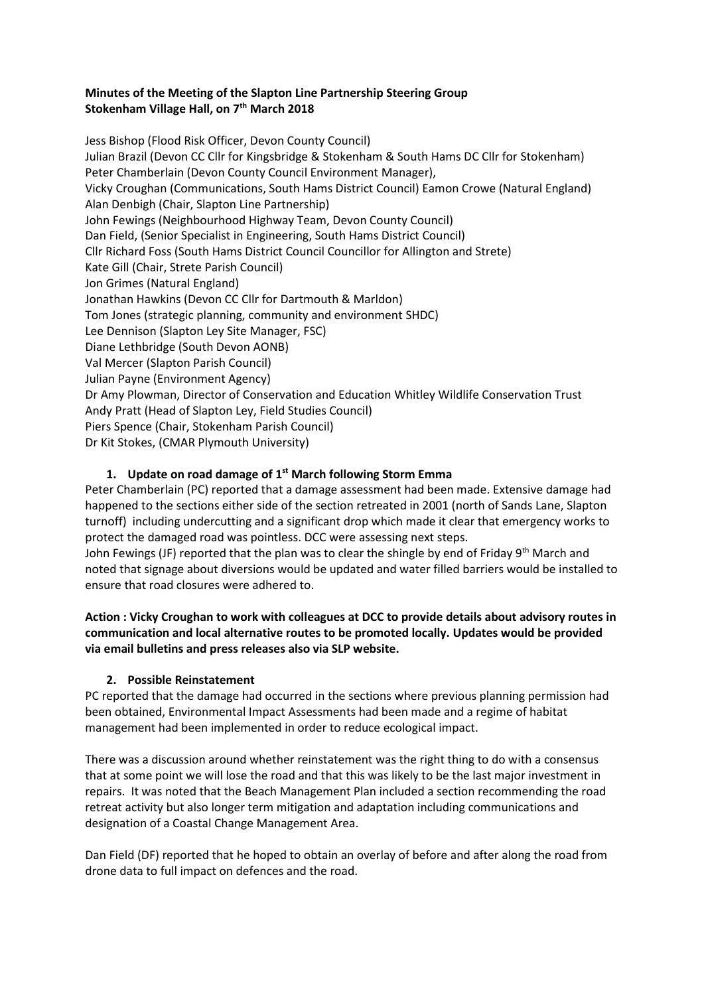### **Minutes of the Meeting of the Slapton Line Partnership Steering Group Stokenham Village Hall, on 7th March 2018**

Jess Bishop (Flood Risk Officer, Devon County Council) Julian Brazil (Devon CC Cllr for Kingsbridge & Stokenham & South Hams DC Cllr for Stokenham) Peter Chamberlain (Devon County Council Environment Manager), Vicky Croughan (Communications, South Hams District Council) Eamon Crowe (Natural England) Alan Denbigh (Chair, Slapton Line Partnership) John Fewings (Neighbourhood Highway Team, Devon County Council) Dan Field, (Senior Specialist in Engineering, South Hams District Council) Cllr Richard Foss (South Hams District Council Councillor for Allington and Strete) Kate Gill (Chair, Strete Parish Council) Jon Grimes (Natural England) Jonathan Hawkins (Devon CC Cllr for Dartmouth & Marldon) Tom Jones (strategic planning, community and environment SHDC) Lee Dennison (Slapton Ley Site Manager, FSC) Diane Lethbridge (South Devon AONB) Val Mercer (Slapton Parish Council) Julian Payne (Environment Agency) Dr Amy Plowman, Director of Conservation and Education Whitley Wildlife Conservation Trust Andy Pratt (Head of Slapton Ley, Field Studies Council) Piers Spence (Chair, Stokenham Parish Council) Dr Kit Stokes, (CMAR Plymouth University)

# **1. Update on road damage of 1 st March following Storm Emma**

Peter Chamberlain (PC) reported that a damage assessment had been made. Extensive damage had happened to the sections either side of the section retreated in 2001 (north of Sands Lane, Slapton turnoff) including undercutting and a significant drop which made it clear that emergency works to protect the damaged road was pointless. DCC were assessing next steps.

John Fewings (JF) reported that the plan was to clear the shingle by end of Friday 9<sup>th</sup> March and noted that signage about diversions would be updated and water filled barriers would be installed to ensure that road closures were adhered to.

### **Action : Vicky Croughan to work with colleagues at DCC to provide details about advisory routes in communication and local alternative routes to be promoted locally. Updates would be provided via email bulletins and press releases also via SLP website.**

## **2. Possible Reinstatement**

PC reported that the damage had occurred in the sections where previous planning permission had been obtained, Environmental Impact Assessments had been made and a regime of habitat management had been implemented in order to reduce ecological impact.

There was a discussion around whether reinstatement was the right thing to do with a consensus that at some point we will lose the road and that this was likely to be the last major investment in repairs. It was noted that the Beach Management Plan included a section recommending the road retreat activity but also longer term mitigation and adaptation including communications and designation of a Coastal Change Management Area.

Dan Field (DF) reported that he hoped to obtain an overlay of before and after along the road from drone data to full impact on defences and the road.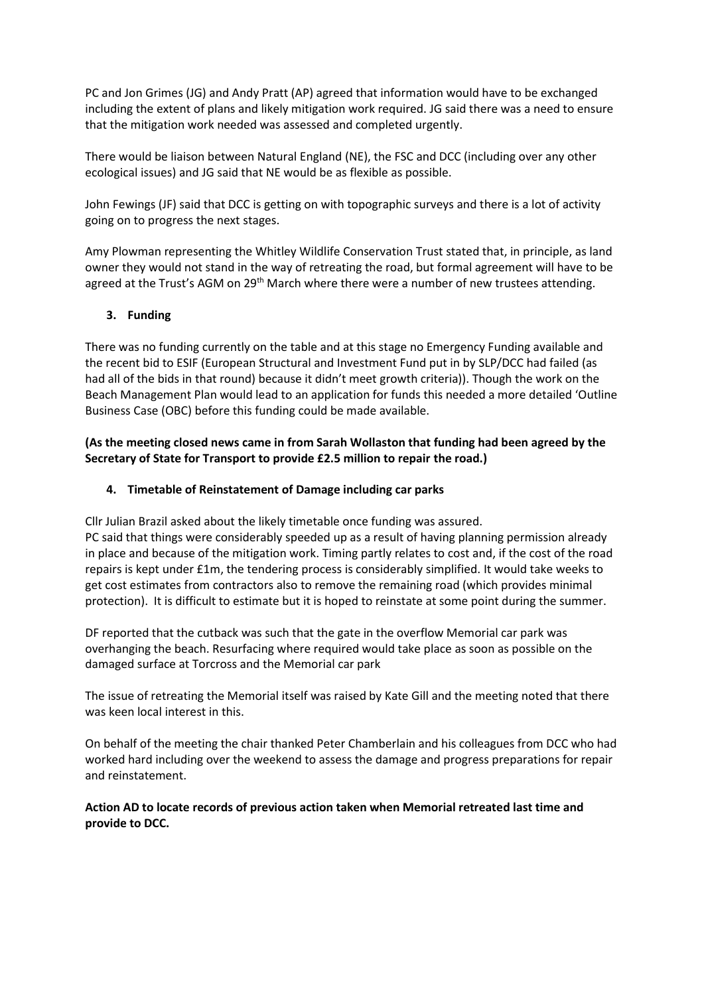PC and Jon Grimes (JG) and Andy Pratt (AP) agreed that information would have to be exchanged including the extent of plans and likely mitigation work required. JG said there was a need to ensure that the mitigation work needed was assessed and completed urgently.

There would be liaison between Natural England (NE), the FSC and DCC (including over any other ecological issues) and JG said that NE would be as flexible as possible.

John Fewings (JF) said that DCC is getting on with topographic surveys and there is a lot of activity going on to progress the next stages.

Amy Plowman representing the Whitley Wildlife Conservation Trust stated that, in principle, as land owner they would not stand in the way of retreating the road, but formal agreement will have to be agreed at the Trust's AGM on 29<sup>th</sup> March where there were a number of new trustees attending.

### **3. Funding**

There was no funding currently on the table and at this stage no Emergency Funding available and the recent bid to ESIF (European Structural and Investment Fund put in by SLP/DCC had failed (as had all of the bids in that round) because it didn't meet growth criteria)). Though the work on the Beach Management Plan would lead to an application for funds this needed a more detailed 'Outline Business Case (OBC) before this funding could be made available.

#### **(As the meeting closed news came in from Sarah Wollaston that funding had been agreed by the Secretary of State for Transport to provide £2.5 million to repair the road.)**

#### **4. Timetable of Reinstatement of Damage including car parks**

Cllr Julian Brazil asked about the likely timetable once funding was assured.

PC said that things were considerably speeded up as a result of having planning permission already in place and because of the mitigation work. Timing partly relates to cost and, if the cost of the road repairs is kept under £1m, the tendering process is considerably simplified. It would take weeks to get cost estimates from contractors also to remove the remaining road (which provides minimal protection). It is difficult to estimate but it is hoped to reinstate at some point during the summer.

DF reported that the cutback was such that the gate in the overflow Memorial car park was overhanging the beach. Resurfacing where required would take place as soon as possible on the damaged surface at Torcross and the Memorial car park

The issue of retreating the Memorial itself was raised by Kate Gill and the meeting noted that there was keen local interest in this.

On behalf of the meeting the chair thanked Peter Chamberlain and his colleagues from DCC who had worked hard including over the weekend to assess the damage and progress preparations for repair and reinstatement.

**Action AD to locate records of previous action taken when Memorial retreated last time and provide to DCC.**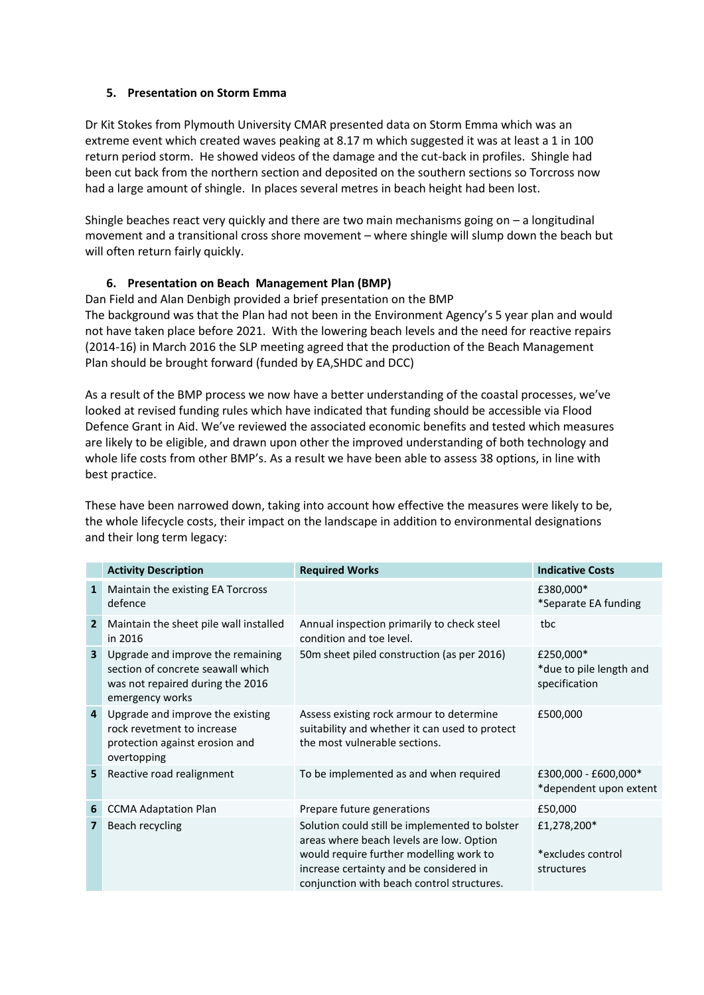#### **5. Presentation on Storm Emma**

Dr Kit Stokes from Plymouth University CMAR presented data on Storm Emma which was an extreme event which created waves peaking at 8.17 m which suggested it was at least a 1 in 100 return period storm. He showed videos of the damage and the cut-back in profiles. Shingle had been cut back from the northern section and deposited on the southern sections so Torcross now had a large amount of shingle. In places several metres in beach height had been lost.

Shingle beaches react very quickly and there are two main mechanisms going on  $-$  a longitudinal movement and a transitional cross shore movement – where shingle will slump down the beach but will often return fairly quickly.

#### **6. Presentation on Beach Management Plan (BMP)**

Dan Field and Alan Denbigh provided a brief presentation on the BMP The background was that the Plan had not been in the Environment Agency's 5 year plan and would not have taken place before 2021. With the lowering beach levels and the need for reactive repairs (2014-16) in March 2016 the SLP meeting agreed that the production of the Beach Management Plan should be brought forward (funded by EA,SHDC and DCC)

As a result of the BMP process we now have a better understanding of the coastal processes, we've looked at revised funding rules which have indicated that funding should be accessible via Flood Defence Grant in Aid. We've reviewed the associated economic benefits and tested which measures are likely to be eligible, and drawn upon other the improved understanding of both technology and whole life costs from other BMP's. As a result we have been able to assess 38 options, in line with best practice.

These have been narrowed down, taking into account how effective the measures were likely to be, the whole lifecycle costs, their impact on the landscape in addition to environmental designations and their long term legacy:

|                         | <b>Activity Description</b>                                                                                                   | <b>Required Works</b>                                                                                                                                                                                                          | <b>Indicative Costs</b>                               |
|-------------------------|-------------------------------------------------------------------------------------------------------------------------------|--------------------------------------------------------------------------------------------------------------------------------------------------------------------------------------------------------------------------------|-------------------------------------------------------|
| $\mathbf{1}$            | Maintain the existing EA Torcross<br>defence                                                                                  |                                                                                                                                                                                                                                | £380,000*<br>*Separate EA funding                     |
| $\overline{2}$          | Maintain the sheet pile wall installed<br>in 2016                                                                             | Annual inspection primarily to check steel<br>condition and toe level.                                                                                                                                                         | tbc                                                   |
| $\overline{\mathbf{3}}$ | Upgrade and improve the remaining<br>section of concrete seawall which<br>was not repaired during the 2016<br>emergency works | 50m sheet piled construction (as per 2016)                                                                                                                                                                                     | £250,000*<br>*due to pile length and<br>specification |
| $\overline{4}$          | Upgrade and improve the existing<br>rock revetment to increase<br>protection against erosion and<br>overtopping               | Assess existing rock armour to determine<br>suitability and whether it can used to protect<br>the most vulnerable sections.                                                                                                    | £500,000                                              |
| 5                       | Reactive road realignment                                                                                                     | To be implemented as and when required                                                                                                                                                                                         | £300,000 - £600,000*<br>*dependent upon extent        |
| 6                       | <b>CCMA Adaptation Plan</b>                                                                                                   | Prepare future generations                                                                                                                                                                                                     | £50,000                                               |
| 7                       | Beach recycling                                                                                                               | Solution could still be implemented to bolster<br>areas where beach levels are low. Option<br>would require further modelling work to<br>increase certainty and be considered in<br>conjunction with beach control structures. | £1,278,200*<br>*excludes control<br>structures        |